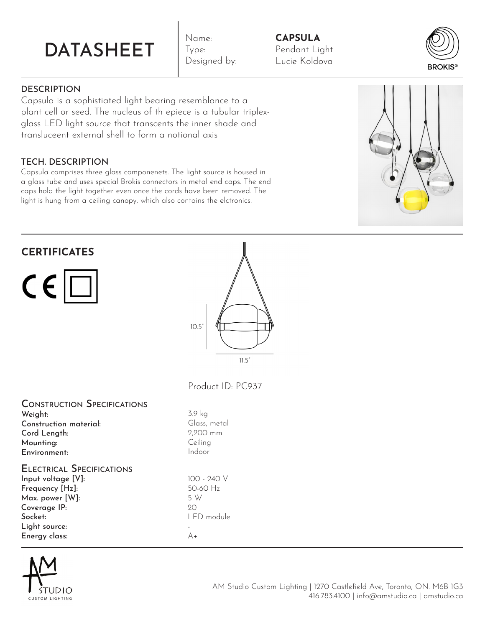# DATASHEET

Name: Type: Designed by:

## **CAPSULA** Pendant Light Lucie Koldova



Capsula is a sophistiated light bearing resemblance to a plant cell or seed. The nucleus of th epiece is a tubular triplexglass LED light source that transcents the inner shade and transluceent external shell to form a notional axis

# TECH. DESCRIPTION

Capsula comprises three glass componenets. The light source is housed in a glass tube and uses special Brokis connectors in metal end caps. The end caps hold the light together even once the cords have been removed. The light is hung from a ceiling canopy, which also contains the elctronics.



| <b>CERTIFICATES</b><br>$C \in \Box$                                                                                                                       | 10.5''<br>11.5''                                            |
|-----------------------------------------------------------------------------------------------------------------------------------------------------------|-------------------------------------------------------------|
|                                                                                                                                                           | Product ID: PC937                                           |
| <b>CONSTRUCTION SPECIFICATIONS</b><br>Weight:<br>Construction material:<br>Cord Length:<br>Mounting:<br>Environment:                                      | 3.9 kg<br>Glass, metal<br>2,200 mm<br>Ceiling<br>Indoor     |
| <b>ELECTRICAL SPECIFICATIONS</b><br>Input voltage [V]:<br>Frequency [Hz]:<br>Max. power [W]:<br>Coverage IP:<br>Socket:<br>Light source:<br>Energy class: | 100 - 240 V<br>50-60 Hz<br>5 W<br>20<br>LED module<br>$A +$ |

 $\mathbf{u}$ 



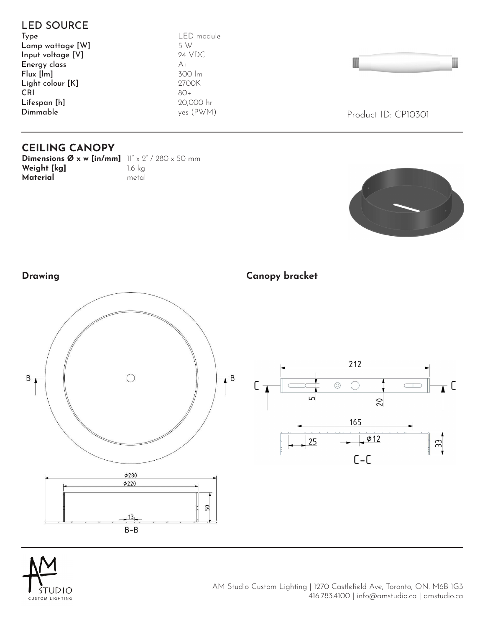



AM Studio Custom Lighting | 1270 Castlefield Ave, Toronto, ON. M6B 1G3 416.783.4100 | info@amstudio.ca | amstudio.ca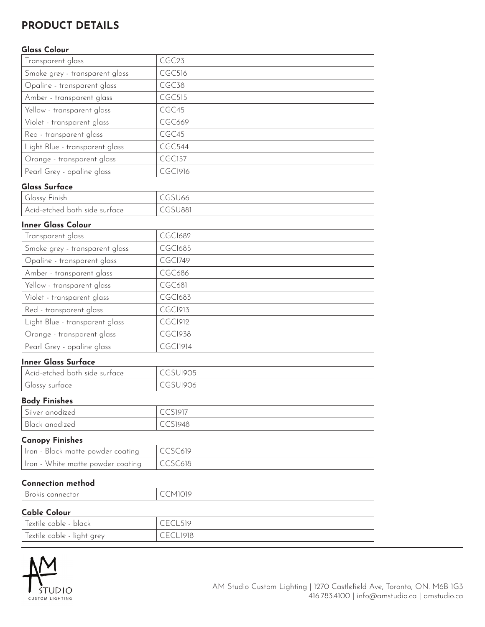# **PRODUCT DETAILS**

#### **Glass Colour**

| Transparent glass              | CGC <sub>23</sub> |
|--------------------------------|-------------------|
| Smoke grey - transparent glass | CGC516            |
| Opaline - transparent glass    | CGC <sub>38</sub> |
| Amber - transparent glass      | <b>CGC515</b>     |
| Yellow - transparent glass     | CGC45             |
| Violet - transparent glass     | <b>CGC669</b>     |
| Red - transparent glass        | CGC <sub>45</sub> |
| Light Blue - transparent glass | <b>CGC544</b>     |
| Orange - transparent glass     | <b>CGC157</b>     |
| Pearl Grey - opaline glass     | CGC1916           |

#### **Glass Surface**

| Glossy Finish                     | (55)   |
|-----------------------------------|--------|
| l Acid-etched both side surface I | CSU881 |

#### **Inner Glass Colour**

| Transparent glass              | <b>CGCI682</b> |
|--------------------------------|----------------|
| Smoke grey - transparent glass | <b>CGCI685</b> |
| Opaline - transparent glass    | CGCI749        |
| Amber - transparent glass      | CGC686         |
| Yellow - transparent glass     | CGC681         |
| Violet - transparent glass     | <b>CGCI683</b> |
| Red - transparent glass        | <b>CGC1913</b> |
| Light Blue - transparent glass | <b>CGC1912</b> |
| Orange - transparent glass     | <b>CGCI938</b> |
| Pearl Grey - opaline glass     | CGCI1914       |

#### **Inner Glass Surface**

| Acid-etched both side surface | CGSUI905 |
|-------------------------------|----------|
| Glossy surtace                | JI906    |

#### **Body Finishes**

| Silver anodized | $\bigcap$ $\bigcap$ $\bigcap$ $\bigcap$<br>$\smallsmile\smallsmile\smallsmile$ |
|-----------------|--------------------------------------------------------------------------------|
| Black anodized  | <b>CCS1948</b>                                                                 |

#### **Canopy Finishes**

| Iron - Black matte powder coating           | CCSC619 |
|---------------------------------------------|---------|
| Iron - White matte powder coating   CCSC618 |         |

#### **Connection method**

| Brokis connector           | CCM1019    |
|----------------------------|------------|
| <b>Cable Colour</b>        |            |
| Textile cable - black      | CFCI 519   |
| Textile cable - light grey | CECI 1918. |